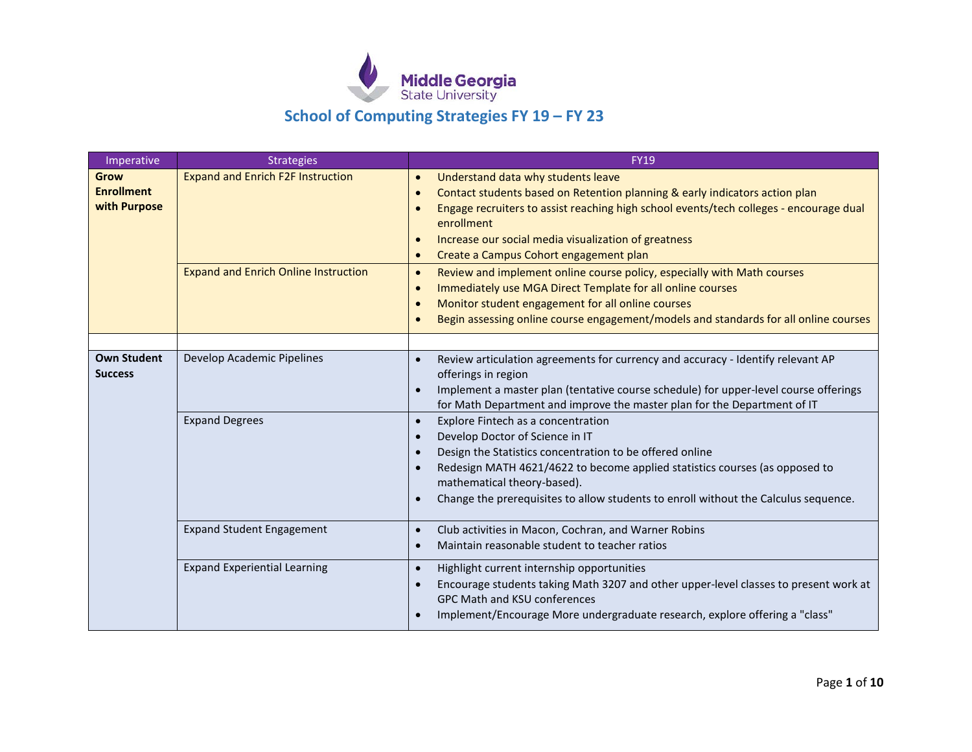

| Imperative                                       | <b>Strategies</b>                                   | <b>FY19</b>                                                                                                                                                                                                                                                                                                                                                                                                                                                                                                                                                                                                                       |
|--------------------------------------------------|-----------------------------------------------------|-----------------------------------------------------------------------------------------------------------------------------------------------------------------------------------------------------------------------------------------------------------------------------------------------------------------------------------------------------------------------------------------------------------------------------------------------------------------------------------------------------------------------------------------------------------------------------------------------------------------------------------|
| <b>Grow</b><br><b>Enrollment</b><br>with Purpose | <b>Expand and Enrich F2F Instruction</b>            | Understand data why students leave<br>$\bullet$<br>Contact students based on Retention planning & early indicators action plan<br>Engage recruiters to assist reaching high school events/tech colleges - encourage dual<br>enrollment<br>Increase our social media visualization of greatness<br>Create a Campus Cohort engagement plan<br>$\bullet$                                                                                                                                                                                                                                                                             |
|                                                  | <b>Expand and Enrich Online Instruction</b>         | Review and implement online course policy, especially with Math courses<br>$\bullet$<br>Immediately use MGA Direct Template for all online courses<br>$\bullet$<br>Monitor student engagement for all online courses<br>Begin assessing online course engagement/models and standards for all online courses                                                                                                                                                                                                                                                                                                                      |
|                                                  |                                                     |                                                                                                                                                                                                                                                                                                                                                                                                                                                                                                                                                                                                                                   |
| <b>Own Student</b><br><b>Success</b>             | Develop Academic Pipelines<br><b>Expand Degrees</b> | Review articulation agreements for currency and accuracy - Identify relevant AP<br>offerings in region<br>Implement a master plan (tentative course schedule) for upper-level course offerings<br>for Math Department and improve the master plan for the Department of IT<br>Explore Fintech as a concentration<br>$\bullet$<br>Develop Doctor of Science in IT<br>Design the Statistics concentration to be offered online<br>Redesign MATH 4621/4622 to become applied statistics courses (as opposed to<br>mathematical theory-based).<br>Change the prerequisites to allow students to enroll without the Calculus sequence. |
|                                                  | <b>Expand Student Engagement</b>                    | Club activities in Macon, Cochran, and Warner Robins<br>Maintain reasonable student to teacher ratios<br>$\bullet$                                                                                                                                                                                                                                                                                                                                                                                                                                                                                                                |
|                                                  | <b>Expand Experiential Learning</b>                 | Highlight current internship opportunities<br>$\bullet$<br>Encourage students taking Math 3207 and other upper-level classes to present work at<br><b>GPC Math and KSU conferences</b><br>Implement/Encourage More undergraduate research, explore offering a "class"                                                                                                                                                                                                                                                                                                                                                             |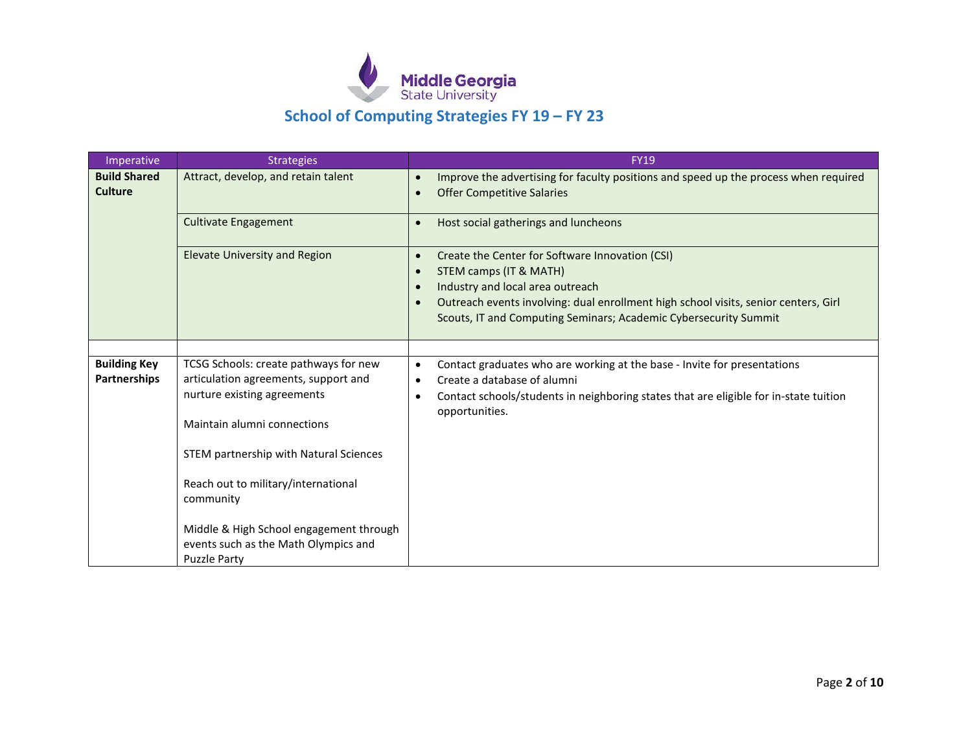

| Imperative                            | <b>Strategies</b>                                                                                                                                                                                                                                                                    | <b>FY19</b>                                                                                                                                                                                                                                                                                                     |
|---------------------------------------|--------------------------------------------------------------------------------------------------------------------------------------------------------------------------------------------------------------------------------------------------------------------------------------|-----------------------------------------------------------------------------------------------------------------------------------------------------------------------------------------------------------------------------------------------------------------------------------------------------------------|
| <b>Build Shared</b><br><b>Culture</b> | Attract, develop, and retain talent                                                                                                                                                                                                                                                  | Improve the advertising for faculty positions and speed up the process when required<br>$\bullet$<br><b>Offer Competitive Salaries</b>                                                                                                                                                                          |
|                                       | <b>Cultivate Engagement</b>                                                                                                                                                                                                                                                          | Host social gatherings and luncheons<br>$\bullet$                                                                                                                                                                                                                                                               |
|                                       | <b>Elevate University and Region</b>                                                                                                                                                                                                                                                 | Create the Center for Software Innovation (CSI)<br>$\bullet$<br>STEM camps (IT & MATH)<br>$\bullet$<br>Industry and local area outreach<br>$\bullet$<br>Outreach events involving: dual enrollment high school visits, senior centers, Girl<br>Scouts, IT and Computing Seminars; Academic Cybersecurity Summit |
|                                       |                                                                                                                                                                                                                                                                                      |                                                                                                                                                                                                                                                                                                                 |
| <b>Building Key</b><br>Partnerships   | TCSG Schools: create pathways for new<br>articulation agreements, support and<br>nurture existing agreements<br>Maintain alumni connections<br>STEM partnership with Natural Sciences<br>Reach out to military/international<br>community<br>Middle & High School engagement through | Contact graduates who are working at the base - Invite for presentations<br>$\bullet$<br>Create a database of alumni<br>Contact schools/students in neighboring states that are eligible for in-state tuition<br>opportunities.                                                                                 |
|                                       | events such as the Math Olympics and<br><b>Puzzle Party</b>                                                                                                                                                                                                                          |                                                                                                                                                                                                                                                                                                                 |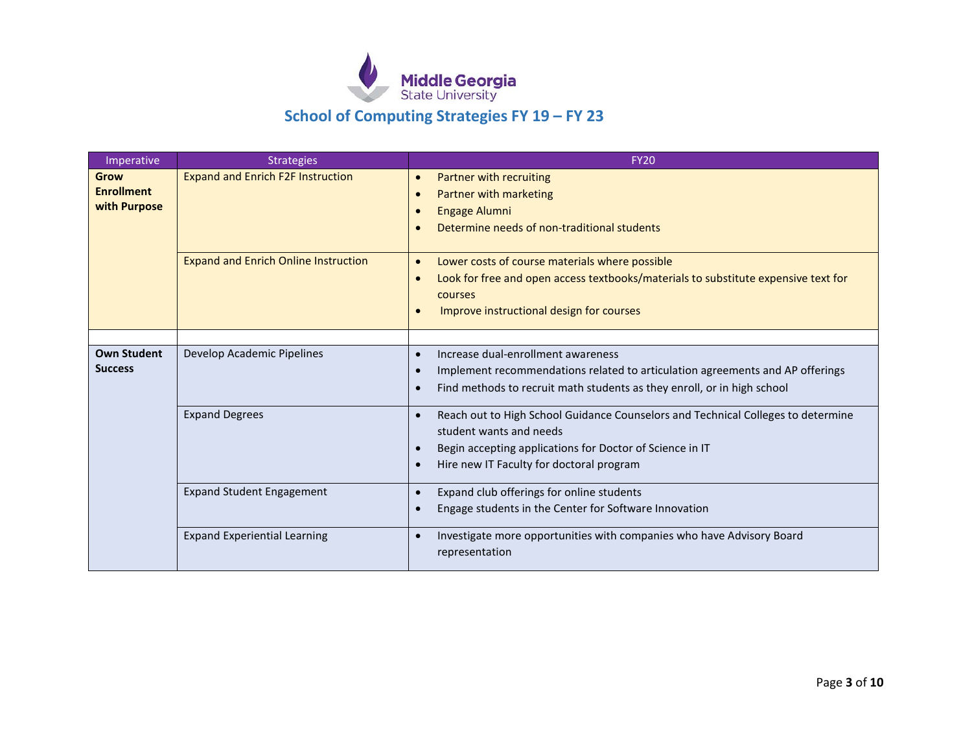

| Imperative                                       | <b>Strategies</b>                           | <b>FY20</b>                                                                                                                                                                                                         |
|--------------------------------------------------|---------------------------------------------|---------------------------------------------------------------------------------------------------------------------------------------------------------------------------------------------------------------------|
| <b>Grow</b><br><b>Enrollment</b><br>with Purpose | <b>Expand and Enrich F2F Instruction</b>    | Partner with recruiting<br>$\bullet$<br>Partner with marketing<br>Engage Alumni<br>Determine needs of non-traditional students                                                                                      |
|                                                  | <b>Expand and Enrich Online Instruction</b> | Lower costs of course materials where possible<br>$\bullet$<br>Look for free and open access textbooks/materials to substitute expensive text for<br>courses<br>Improve instructional design for courses            |
|                                                  |                                             |                                                                                                                                                                                                                     |
| <b>Own Student</b><br><b>Success</b>             | Develop Academic Pipelines                  | Increase dual-enrollment awareness<br>$\bullet$<br>Implement recommendations related to articulation agreements and AP offerings<br>Find methods to recruit math students as they enroll, or in high school         |
|                                                  | <b>Expand Degrees</b>                       | Reach out to High School Guidance Counselors and Technical Colleges to determine<br>student wants and needs<br>Begin accepting applications for Doctor of Science in IT<br>Hire new IT Faculty for doctoral program |
|                                                  | <b>Expand Student Engagement</b>            | Expand club offerings for online students<br>Engage students in the Center for Software Innovation                                                                                                                  |
|                                                  | <b>Expand Experiential Learning</b>         | Investigate more opportunities with companies who have Advisory Board<br>representation                                                                                                                             |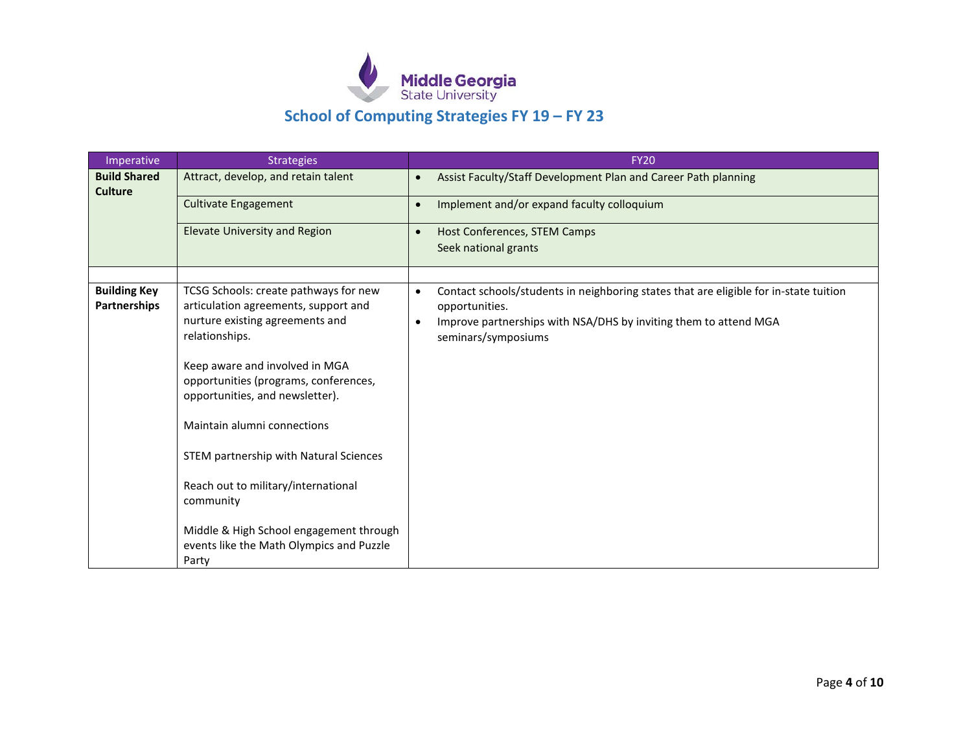

| Imperative                            | <b>Strategies</b>                                                                                          | <b>FY20</b>                                                                                                          |
|---------------------------------------|------------------------------------------------------------------------------------------------------------|----------------------------------------------------------------------------------------------------------------------|
| <b>Build Shared</b><br><b>Culture</b> | Attract, develop, and retain talent                                                                        | Assist Faculty/Staff Development Plan and Career Path planning<br>$\bullet$                                          |
|                                       | <b>Cultivate Engagement</b>                                                                                | Implement and/or expand faculty colloquium<br>$\bullet$                                                              |
|                                       | <b>Elevate University and Region</b>                                                                       | Host Conferences, STEM Camps<br>$\bullet$                                                                            |
|                                       |                                                                                                            | Seek national grants                                                                                                 |
|                                       |                                                                                                            |                                                                                                                      |
| <b>Building Key</b><br>Partnerships   | TCSG Schools: create pathways for new<br>articulation agreements, support and                              | Contact schools/students in neighboring states that are eligible for in-state tuition<br>$\bullet$<br>opportunities. |
|                                       | nurture existing agreements and                                                                            | Improve partnerships with NSA/DHS by inviting them to attend MGA                                                     |
|                                       | relationships.                                                                                             | seminars/symposiums                                                                                                  |
|                                       | Keep aware and involved in MGA<br>opportunities (programs, conferences,<br>opportunities, and newsletter). |                                                                                                                      |
|                                       | Maintain alumni connections                                                                                |                                                                                                                      |
|                                       | STEM partnership with Natural Sciences                                                                     |                                                                                                                      |
|                                       | Reach out to military/international<br>community                                                           |                                                                                                                      |
|                                       | Middle & High School engagement through<br>events like the Math Olympics and Puzzle<br>Party               |                                                                                                                      |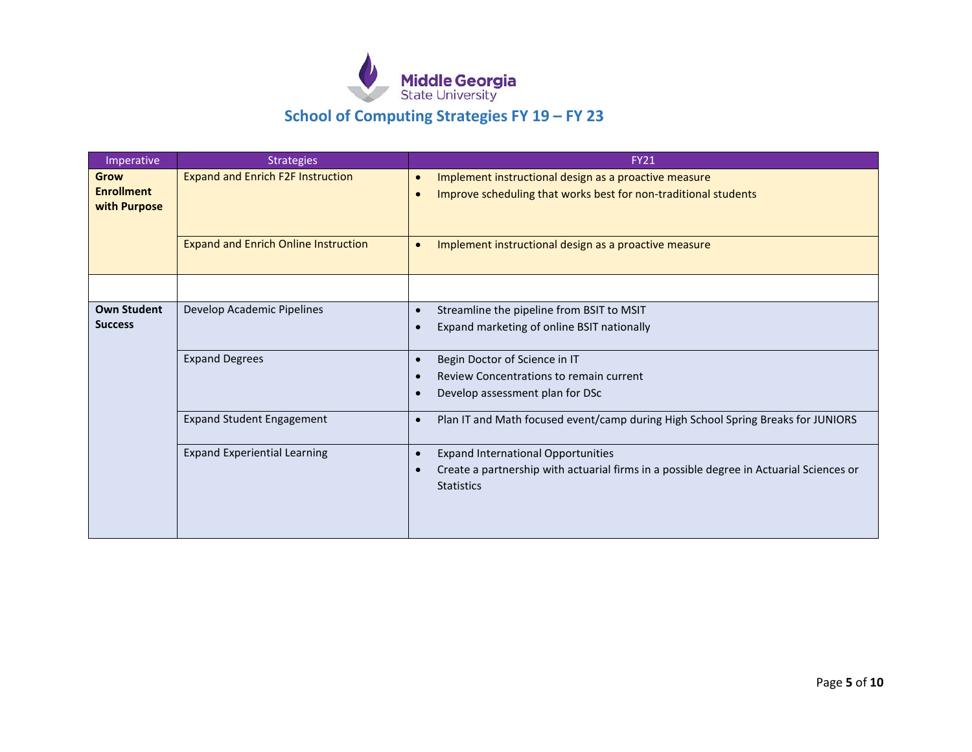

| Imperative                                       | <b>Strategies</b>                           | <b>FY21</b>                                                                                                                                                            |
|--------------------------------------------------|---------------------------------------------|------------------------------------------------------------------------------------------------------------------------------------------------------------------------|
| <b>Grow</b><br><b>Enrollment</b><br>with Purpose | <b>Expand and Enrich F2F Instruction</b>    | Implement instructional design as a proactive measure<br>$\bullet$<br>Improve scheduling that works best for non-traditional students                                  |
|                                                  | <b>Expand and Enrich Online Instruction</b> | Implement instructional design as a proactive measure<br>$\bullet$                                                                                                     |
|                                                  |                                             |                                                                                                                                                                        |
| <b>Own Student</b><br><b>Success</b>             | Develop Academic Pipelines                  | Streamline the pipeline from BSIT to MSIT<br>$\bullet$<br>Expand marketing of online BSIT nationally                                                                   |
|                                                  | <b>Expand Degrees</b>                       | Begin Doctor of Science in IT<br>$\bullet$<br>Review Concentrations to remain current<br>Develop assessment plan for DSc                                               |
|                                                  | <b>Expand Student Engagement</b>            | Plan IT and Math focused event/camp during High School Spring Breaks for JUNIORS<br>$\bullet$                                                                          |
|                                                  | <b>Expand Experiential Learning</b>         | <b>Expand International Opportunities</b><br>$\bullet$<br>Create a partnership with actuarial firms in a possible degree in Actuarial Sciences or<br><b>Statistics</b> |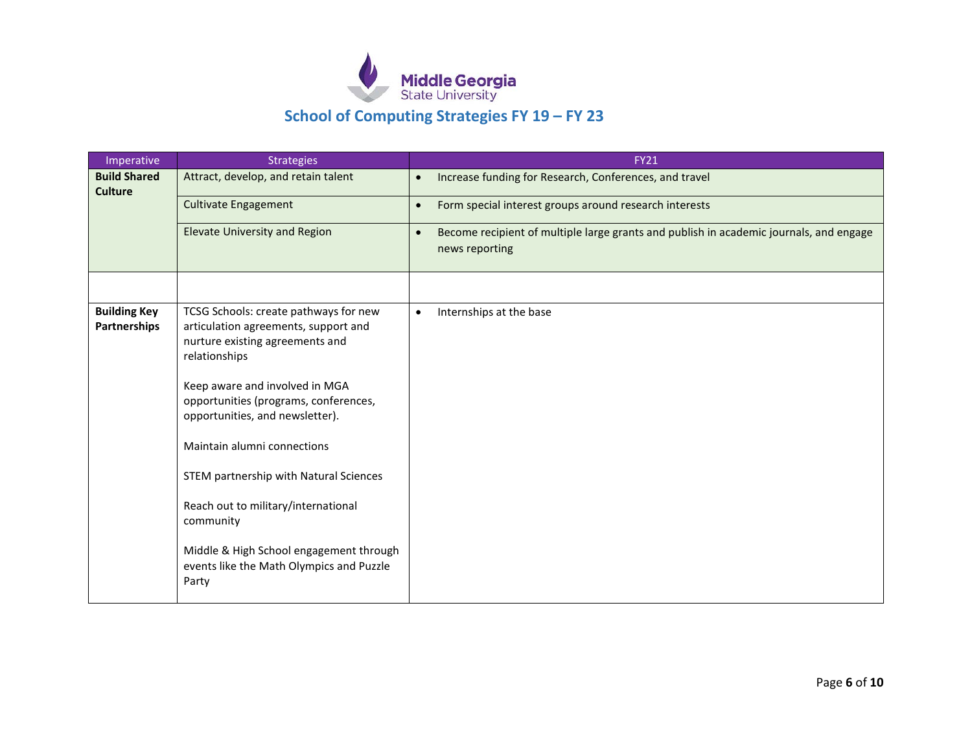

| Imperative                                 | <b>Strategies</b>                                                                                                                                                                                                                                                                                                                                                                                                                                                            | <b>FY21</b>                                                                                                           |
|--------------------------------------------|------------------------------------------------------------------------------------------------------------------------------------------------------------------------------------------------------------------------------------------------------------------------------------------------------------------------------------------------------------------------------------------------------------------------------------------------------------------------------|-----------------------------------------------------------------------------------------------------------------------|
| <b>Build Shared</b><br><b>Culture</b>      | Attract, develop, and retain talent                                                                                                                                                                                                                                                                                                                                                                                                                                          | Increase funding for Research, Conferences, and travel<br>$\bullet$                                                   |
|                                            | <b>Cultivate Engagement</b>                                                                                                                                                                                                                                                                                                                                                                                                                                                  | Form special interest groups around research interests<br>$\bullet$                                                   |
|                                            | <b>Elevate University and Region</b>                                                                                                                                                                                                                                                                                                                                                                                                                                         | Become recipient of multiple large grants and publish in academic journals, and engage<br>$\bullet$<br>news reporting |
|                                            |                                                                                                                                                                                                                                                                                                                                                                                                                                                                              |                                                                                                                       |
| <b>Building Key</b><br><b>Partnerships</b> | TCSG Schools: create pathways for new<br>articulation agreements, support and<br>nurture existing agreements and<br>relationships<br>Keep aware and involved in MGA<br>opportunities (programs, conferences,<br>opportunities, and newsletter).<br>Maintain alumni connections<br>STEM partnership with Natural Sciences<br>Reach out to military/international<br>community<br>Middle & High School engagement through<br>events like the Math Olympics and Puzzle<br>Party | Internships at the base<br>$\bullet$                                                                                  |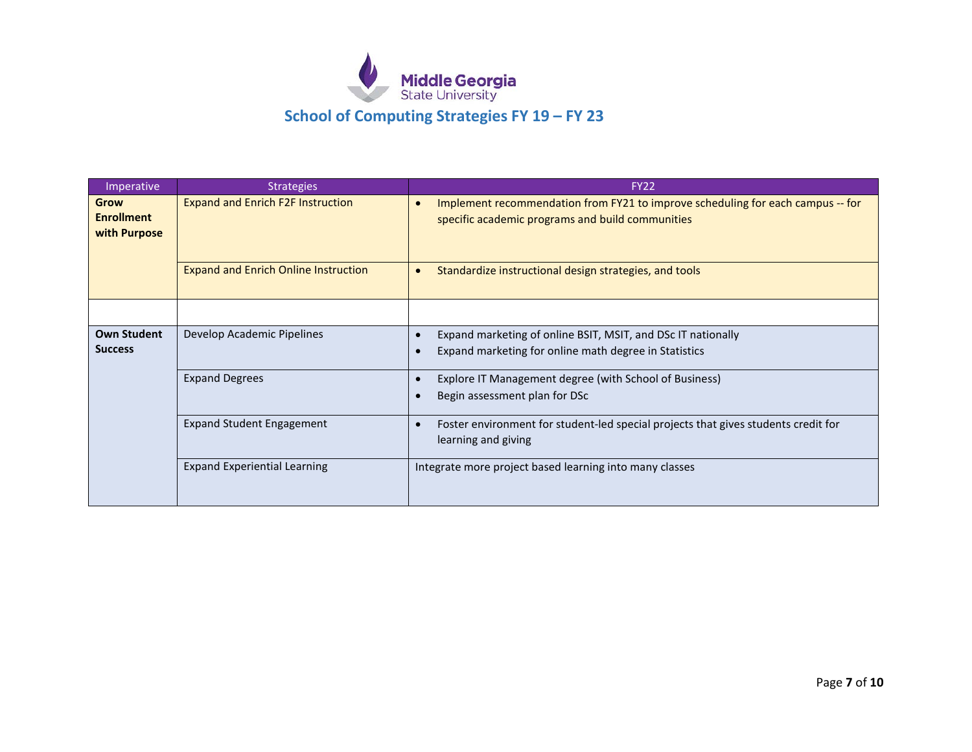

| Imperative                                       | <b>Strategies</b>                           | <b>FY22</b>                                                                                                                                      |
|--------------------------------------------------|---------------------------------------------|--------------------------------------------------------------------------------------------------------------------------------------------------|
| <b>Grow</b><br><b>Enrollment</b><br>with Purpose | <b>Expand and Enrich F2F Instruction</b>    | Implement recommendation from FY21 to improve scheduling for each campus -- for<br>$\bullet$<br>specific academic programs and build communities |
|                                                  | <b>Expand and Enrich Online Instruction</b> | Standardize instructional design strategies, and tools<br>$\bullet$                                                                              |
|                                                  |                                             |                                                                                                                                                  |
| <b>Own Student</b><br><b>Success</b>             | Develop Academic Pipelines                  | Expand marketing of online BSIT, MSIT, and DSc IT nationally<br>Expand marketing for online math degree in Statistics                            |
|                                                  | <b>Expand Degrees</b>                       | Explore IT Management degree (with School of Business)<br>Begin assessment plan for DSc                                                          |
|                                                  | <b>Expand Student Engagement</b>            | Foster environment for student-led special projects that gives students credit for<br>$\bullet$<br>learning and giving                           |
|                                                  | <b>Expand Experiential Learning</b>         | Integrate more project based learning into many classes                                                                                          |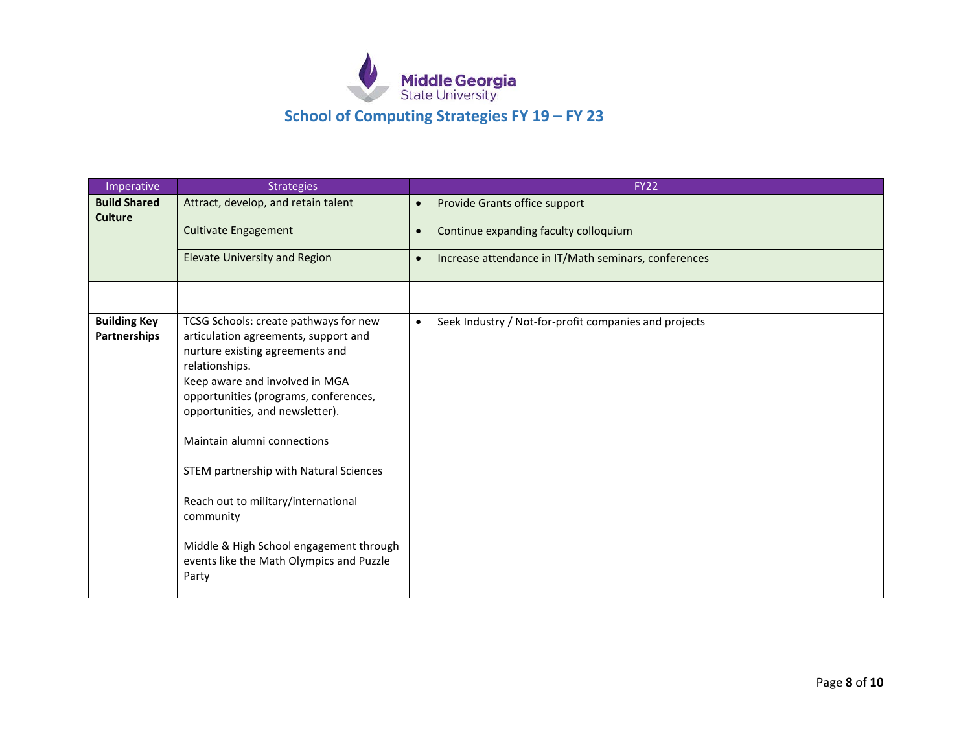

| Imperative                            | <b>Strategies</b>                                                                                                                                                                                                                                                                                                                                                                                                                                                             | <b>FY22</b>                                                        |
|---------------------------------------|-------------------------------------------------------------------------------------------------------------------------------------------------------------------------------------------------------------------------------------------------------------------------------------------------------------------------------------------------------------------------------------------------------------------------------------------------------------------------------|--------------------------------------------------------------------|
| <b>Build Shared</b><br><b>Culture</b> | Attract, develop, and retain talent                                                                                                                                                                                                                                                                                                                                                                                                                                           | Provide Grants office support<br>$\bullet$                         |
|                                       | <b>Cultivate Engagement</b>                                                                                                                                                                                                                                                                                                                                                                                                                                                   | Continue expanding faculty colloquium<br>$\bullet$                 |
|                                       | <b>Elevate University and Region</b>                                                                                                                                                                                                                                                                                                                                                                                                                                          | Increase attendance in IT/Math seminars, conferences<br>$\bullet$  |
|                                       |                                                                                                                                                                                                                                                                                                                                                                                                                                                                               |                                                                    |
| <b>Building Key</b><br>Partnerships   | TCSG Schools: create pathways for new<br>articulation agreements, support and<br>nurture existing agreements and<br>relationships.<br>Keep aware and involved in MGA<br>opportunities (programs, conferences,<br>opportunities, and newsletter).<br>Maintain alumni connections<br>STEM partnership with Natural Sciences<br>Reach out to military/international<br>community<br>Middle & High School engagement through<br>events like the Math Olympics and Puzzle<br>Party | Seek Industry / Not-for-profit companies and projects<br>$\bullet$ |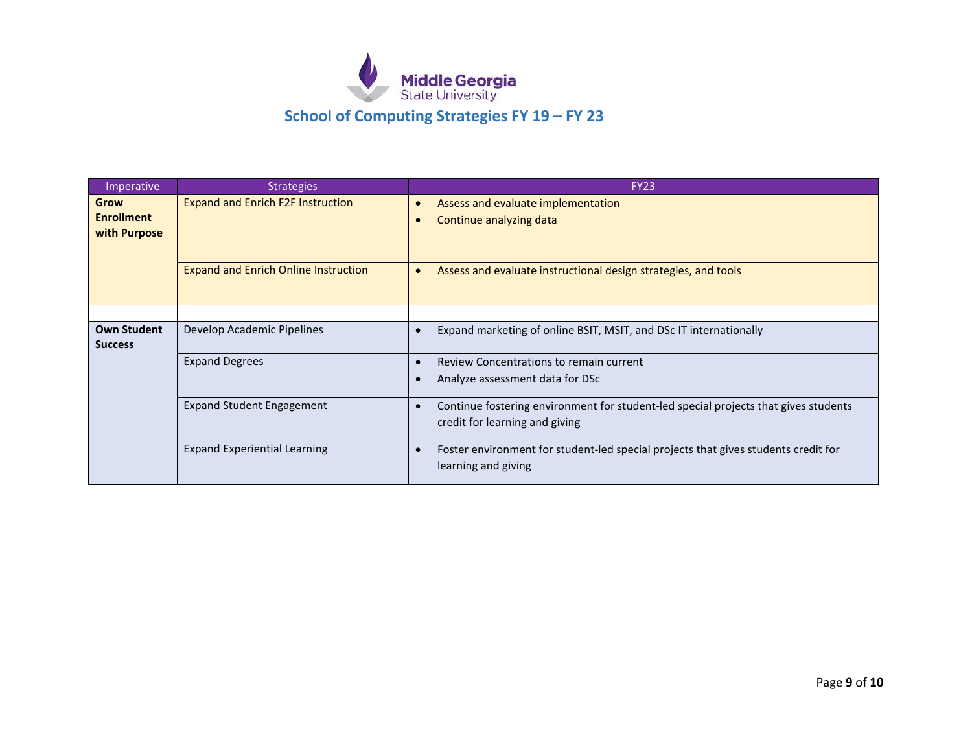

| Imperative                                       | <b>Strategies</b>                           | <b>FY23</b>                                                                                                                        |
|--------------------------------------------------|---------------------------------------------|------------------------------------------------------------------------------------------------------------------------------------|
| <b>Grow</b><br><b>Enrollment</b><br>with Purpose | <b>Expand and Enrich F2F Instruction</b>    | Assess and evaluate implementation<br>$\bullet$<br>Continue analyzing data                                                         |
|                                                  | <b>Expand and Enrich Online Instruction</b> | Assess and evaluate instructional design strategies, and tools<br>$\bullet$                                                        |
| <b>Own Student</b><br><b>Success</b>             | Develop Academic Pipelines                  | Expand marketing of online BSIT, MSIT, and DSc IT internationally                                                                  |
|                                                  | <b>Expand Degrees</b>                       | Review Concentrations to remain current<br>Analyze assessment data for DSc                                                         |
|                                                  | <b>Expand Student Engagement</b>            | Continue fostering environment for student-led special projects that gives students<br>$\bullet$<br>credit for learning and giving |
|                                                  | <b>Expand Experiential Learning</b>         | Foster environment for student-led special projects that gives students credit for<br>$\bullet$<br>learning and giving             |